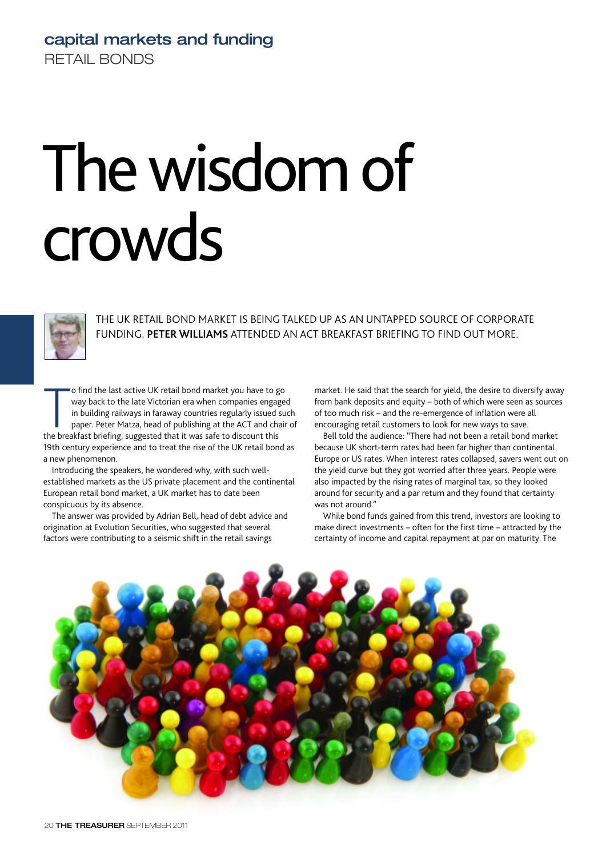## **capital markets and funding** RETAIL BONDS

## The wisdom of crowds



THE UK RETAIL BOND MARKET IS BEING TALKED UP AS AN UNTAPPED SOURCE OF CORPORATE FUNDING. **PETER WILLIAMS** ATTENDED AN ACT BREAKFAST BRIEFING TO FIND OUT MORE.

o find the last active UK retail bond market you have to g<br>way back to the late Victorian era when companies enga<sub>i</sub><br>in building railways in faraway countries regularly issued<br>paper. Peter Matza, head of publishing at the o find the last active UK retail bond market you have to go way back to the late Victorian era when companies engaged in building railways in faraway countries regularly issued such paper. Peter Matza, head of publishing at the ACT and chair of 19th century experience and to treat the rise of the UK retail bond as a new phenomenon.

Introducing the speakers, he wondered why, with such wellestablished markets as the US private placement and the continental European retail bond market, a UK market has to date been conspicuous by its absence.

The answer was provided by Adrian Bell, head of debt advice and origination at Evolution Securities, who suggested that several factors were contributing to a seismic shift in the retail savings

market. He said that the search for yield, the desire to diversify away from bank deposits and equity – both of which were seen as sources of too much risk – and the re-emergence of inflation were all encouraging retail customers to look for new ways to save.

Bell told the audience: "There had not been a retail bond market because UK short-term rates had been far higher than continental Europe or US rates. When interest rates collapsed, savers went out on the yield curve but they got worried after three years. People were also impacted by the rising rates of marginal tax, so they looked around for security and a par return and they found that certainty was not around."

While bond funds gained from this trend, investors are looking to make direct investments – often for the first time – attracted by the certainty of income and capital repayment at par on maturity. The